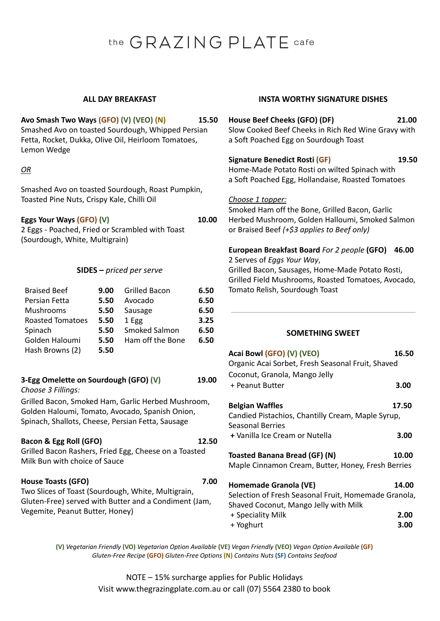# the GRAZING PLATE cafe

## **Avo Smash Two Ways (GFO) (V) (VEO) (N) 15.50** Smashed Avo on toasted Sourdough, Whipped Persian Fetta, Rocket, Dukka, Olive Oil, Heirloom Tomatoes, Lemon Wedge

## *OR*

Smashed Avo on toasted Sourdough, Roast Pumpkin, Toasted Pine Nuts, Crispy Kale, Chilli Oil

**Eggs Your Ways (GFO) (V) 10.00**

2 Eggs - Poached, Fried or Scrambled with Toast (Sourdough, White, Multigrain)

## **SIDES –** *priced per serve*

| <b>Braised Beef</b>     | 9.00 | <b>Grilled Bacon</b> | 6.50 |
|-------------------------|------|----------------------|------|
| Persian Fetta           | 5.50 | Avocado              | 6.50 |
| Mushrooms               | 5.50 | Sausage              | 6.50 |
| <b>Roasted Tomatoes</b> | 5.50 | 1 Egg                | 3.25 |
| Spinach                 | 5.50 | Smoked Salmon        | 6.50 |
| Golden Haloumi          | 5.50 | Ham off the Bone     | 6.50 |
| Hash Browns (2)         | 5.50 |                      |      |

## **3-Egg Omelette on Sourdough (GFO) (V) 19.00**

*Choose 3 Fillings:*

Grilled Bacon, Smoked Ham, Garlic Herbed Mushroom, Golden Haloumi, Tomato, Avocado, Spanish Onion, Spinach, Shallots, Cheese, Persian Fetta, Sausage

## **Bacon & Egg Roll (GFO) 12.50**

Grilled Bacon Rashers, Fried Egg, Cheese on a Toasted Milk Bun with choice of Sauce

## **House Toasts (GFO) 7.00**

Two Slices of Toast (Sourdough, White, Multigrain, Gluten-Free) served with Butter and a Condiment (Jam, Vegemite, Peanut Butter, Honey)

## **ALL DAY BREAKFAST INSTA WORTHY SIGNATURE DISHES**

## **House Beef Cheeks (GFO) (DF) 21.00**

Slow Cooked Beef Cheeks in Rich Red Wine Gravy with a Soft Poached Egg on Sourdough Toast

## **Signature Benedict Rosti (GF) 19.50**

Home-Made Potato Rosti on wilted Spinach with a Soft Poached Egg, Hollandaise, Roasted Tomatoes

## *Choose 1 topper:*

Smoked Ham off the Bone, Grilled Bacon, Garlic Herbed Mushroom, Golden Halloumi, Smoked Salmon or Braised Beef *(+\$3 applies to Beef only)*

## **European Breakfast Board** *For 2 people* **(GFO) 46.00**

2 Serves of *Eggs Your Way*,

Grilled Bacon, Sausages, Home-Made Potato Rosti, Grilled Field Mushrooms, Roasted Tomatoes, Avocado, Tomato Relish, Sourdough Toast

## **SOMETHING SWEET**

| Acai Bowl (GFO) (V) (VEO)                            | 16.50 |
|------------------------------------------------------|-------|
| Organic Acai Sorbet, Fresh Seasonal Fruit, Shaved    |       |
| Coconut, Granola, Mango Jelly                        |       |
| + Peanut Butter                                      | 3.00  |
| <b>Belgian Waffles</b>                               | 17.50 |
| Candied Pistachios, Chantilly Cream, Maple Syrup,    |       |
| Seasonal Berries                                     |       |
| + Vanilla Ice Cream or Nutella                       | 3.00  |
|                                                      |       |
| <b>Toasted Banana Bread (GF) (N)</b>                 | 10.00 |
| Maple Cinnamon Cream, Butter, Honey, Fresh Berries   |       |
| Homemade Granola (VE)                                | 14.00 |
| Selection of Fresh Seasonal Fruit, Homemade Granola, |       |
|                                                      |       |
| Shaved Coconut, Mango Jelly with Milk                |       |
| + Speciality Milk                                    | 2.00  |
| + Yoghurt                                            | 3.00  |

**(V)** *Vegetarian Friendly* **(VO)** *Vegetarian Option Available* **(VE)** *Vegan Friendly* **(VEO)** *Vegan Option Available* **(GF)** *Gluten-Free Recipe* **(GFO)** *Gluten-Free Options* **(N)** *Contains Nuts* **(SF)** *Contains Seafood*

> NOTE – 15% surcharge applies for Public Holidays Visit www.thegrazingplate.com.au or call (07) 5564 2380 to book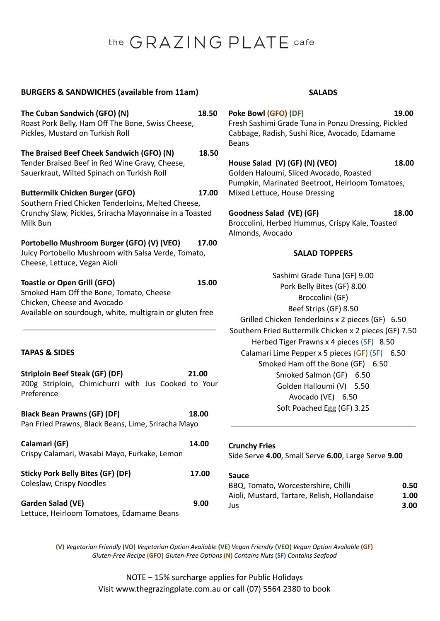# the GRAZING PLATE cafe

## **BURGERS & SANDWICHES (available from 11am) SALADS**

**The Cuban Sandwich (GFO) (N) 18.50** Roast Pork Belly, Ham Off The Bone, Swiss Cheese, Pickles, Mustard on Turkish Roll **The Braised Beef Cheek Sandwich (GFO) (N) 18.50** Tender Braised Beef in Red Wine Gravy, Cheese, Sauerkraut, Wilted Spinach on Turkish Roll **Buttermilk Chicken Burger (GFO) 17.00** Southern Fried Chicken Tenderloins, Melted Cheese, Crunchy Slaw, Pickles, Sriracha Mayonnaise in a Toasted Milk Bun **Portobello Mushroom Burger (GFO) (V) (VEO) 17.00** Juicy Portobello Mushroom with Salsa Verde, Tomato, Cheese, Lettuce, Vegan Aioli **Toastie or Open Grill (GFO) 15.00** Smoked Ham Off the Bone, Tomato, Cheese Chicken, Cheese and Avocado Available on sourdough, white, multigrain or gluten free **TAPAS & SIDES Striploin Beef Steak (GF) (DF) 21.00** 200g Striploin, Chimichurri with Jus Cooked to Your Preference **Black Bean Prawns (GF) (DF) 18.00** Pan Fried Prawns, Black Beans, Lime, Sriracha Mayo **Calamari (GF) 14.00** Crispy Calamari, Wasabi Mayo, Furkake, Lemon **Sticky Pork Belly Bites (GF) (DF) 17.00** Coleslaw, Crispy Noodles **Garden Salad (VE) 9.00**

Lettuce, Heirloom Tomatoes, Edamame Beans

- **Poke Bowl (GFO) (DF) 19.00** Fresh Sashimi Grade Tuna in Ponzu Dressing, Pickled Cabbage, Radish, Sushi Rice, Avocado, Edamame Beans
- **House Salad (V) (GF) (N) (VEO) 18.00** Golden Haloumi, Sliced Avocado, Roasted Pumpkin, Marinated Beetroot, Heirloom Tomatoes, Mixed Lettuce, House Dressing
- **Goodness Salad (VE) (GF) 18.00** Broccolini, Herbed Hummus, Crispy Kale, Toasted Almonds, Avocado

## **SALAD TOPPERS**

Sashimi Grade Tuna (GF) 9.00 Pork Belly Bites (GF) 8.00 Broccolini (GF) Beef Strips (GF) 8.50 Grilled Chicken Tenderloins x 2 pieces (GF) 6.50 Southern Fried Buttermilk Chicken x 2 pieces (GF) 7.50 Herbed Tiger Prawns x 4 pieces (SF) 8.50 Calamari Lime Pepper x 5 pieces (GF) (SF) 6.50 Smoked Ham off the Bone (GF) 6.50 Smoked Salmon (GF) 6.50 Golden Halloumi (V) 5.50 Avocado (VE) 6.50 Soft Poached Egg (GF) 3.25

## **Crunchy Fries**

Side Serve **4.00**, Small Serve **6.00**, Large Serve **9.00**

### **Sauce**

| BBQ, Tomato, Worcestershire, Chilli          | 0.50 |
|----------------------------------------------|------|
| Aioli, Mustard, Tartare, Relish, Hollandaise | 1.00 |
| Jus                                          | 3.00 |

**(V)** *Vegetarian Friendly* **(VO)** *Vegetarian Option Available* **(VE)** *Vegan Friendly* **(VEO)** *Vegan Option Available* **(GF)** *Gluten-Free Recipe* **(GFO)** *Gluten-Free Options* **(N)** *Contains Nuts* **(SF)** *Contains Seafood*

> NOTE – 15% surcharge applies for Public Holidays Visit www.thegrazingplate.com.au or call (07) 5564 2380 to book